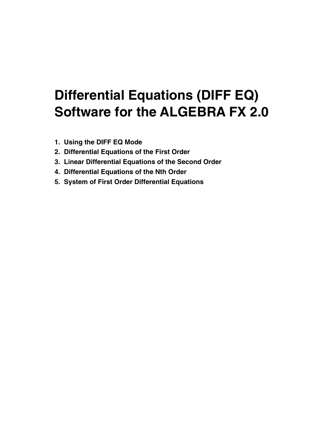# **Differential Equations (DIFF EQ) Software for the ALGEBRA FX 2.0**

- **1. Using the DIFF EQ Mode**
- **2. Differential Equations of the First Order**
- **3. Linear Differential Equations of the Second Order**
- **4. Differential Equations of the Nth Order**
- **5. System of First Order Differential Equations**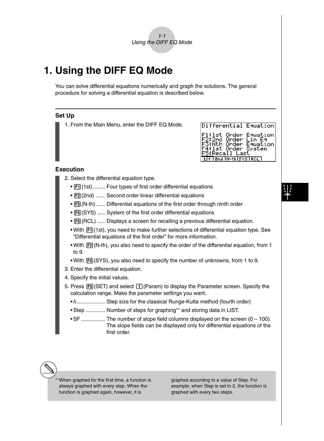

## **1. Using the DIFF EQ Mode**

You can solve differential equations numerically and graph the solutions. The general procedure for solving a differential equation is described below.

#### **Set Up**

1. From the Main Menu, enter the DIFF EQ Mode.

| intileusuntat cynantoul                                                                                                                                    |
|------------------------------------------------------------------------------------------------------------------------------------------------------------|
| F1:1st Order Equation<br>F2:2nd Order Lin Eq<br>F3:Nth Order Equation<br>F4:1st Order System<br><u>F5:</u> Recall Last<br><b>1st land IN-thisys IRCL I</b> |
|                                                                                                                                                            |

 $R \geq 2.2$  and  $R \geq 1$  .  $R = 1$  and  $R = 1$ 

#### **Execution**

- 2. Select the differential equation type.
	- [F1] (1st) ........ Four types of first order differential equations
	- [F2] (2nd) ...... Second order linear differential equations
	- [F3] (N-th) ...... Differential equations of the first order through ninth order
	- $F4$ (SYS) ..... System of the first order differential equations
	- [F5] (RCL) ..... Displays a screen for recalling a previous differential equation.
	- With Fil(1st), you need to make further selections of differential equation type. See "Differential equations of the first order" for more information.
	- With  $\overline{F3}$  (N-th), you also need to specify the order of the differential equation, from 1 to 9.
	- With  $F4(SYS)$ , you also need to specify the number of unknowns, from 1 to 9.
- 3. Enter the differential equation.
- 4. Specify the initial values.
- 5. Press  $\overline{FB}$ (SET) and select  $\overline{1}$  (Param) to display the Parameter screen. Specify the calculation range. Make the parameter settings you want.
	- *h* .................... Step size for the classical Runge-Kutta method (fourth order)
	- Step ............. Number of steps for graphing\*1 and storing data in LIST.
	- SF ................ The number of slope field columns displayed on the screen (0 100). The slope fields can be displayed only for differential equations of the first order.

\*1When graphed for the first time, a function is always graphed with every step. When the function is graphed again, however, it is

graphed according to a value of Step. For example, when Step is set to 2, the function is graphed with every two steps.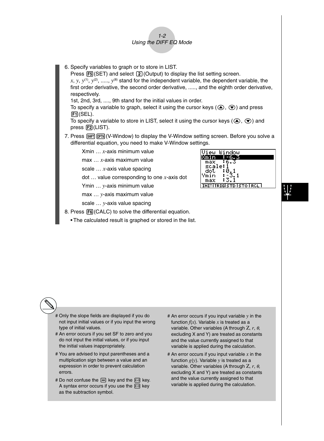- $1 2$ Using the DIFF EQ Mode
- 6. Specify variables to graph or to store in LIST.

Press  $\overline{F5}$  (SET) and select  $\overline{[2]}$  (Output) to display the list setting screen.  $x, y, y^{(1)}, y^{(2)}, \ldots, y^{(8)}$  stand for the independent variable, the dependent variable, the first order derivative, the second order derivative, ....., and the eighth order derivative, respectively.

1st, 2nd, 3rd, ...., 9th stand for the initial values in order.

To specify a variable to graph, select it using the cursor keys ( $\circled{a}$ ,  $\circled{b}$ ) and press 1(SEL).

To specify a variable to store in LIST, select it using the cursor keys ( $\textcircled{A}$ ,  $\textcircled{e}$ ) and press  $F2$ (LIST).

7. Press SHIFT OPTN (V-Window) to display the V-Window setting screen. Before you solve a differential equation, you need to make V-Window settings.

Xmin … *x*-axis minimum value

max … *x*-axis maximum value

scale … *x*-axis value spacing

dot … value corresponding to one *x*-axis dot

Ymin … *y*-axis minimum value

max … *y*-axis maximum value

scale … *y*-axis value spacing

- 8. Press F6(CALC) to solve the differential equation.
	- The calculated result is graphed or stored in the list.



- # Only the slope fields are displayed if you do not input initial values or if you input the wrong type of initial values.
- # An error occurs if you set SF to zero and you do not input the initial values, or if you input the initial values inappropriately.
- # You are advised to input parentheses and a multiplication sign between a value and an expression in order to prevent calculation errors.
- # Do not confuse the  $\Box$  key and the  $\Box$  key. A syntax error occurs if you use the  $\left[\overline{\cdot}\right]$  key as the subtraction symbol.
- # An error occurs if you input variable *y* in the function  $f(x)$ . Variable x is treated as a variable. Other variables (A through Ζ, *r*, <sup>θ</sup>, excluding X and Y) are treated as constants and the value currently assigned to that variable is applied during the calculation.
- # An error occurs if you input variable *x* in the function  $g(y)$ . Variable  $y$  is treated as a variable. Other variables (A through Ζ, *r*, <sup>θ</sup>, excluding X and Y) are treated as constants and the value currently assigned to that variable is applied during the calculation.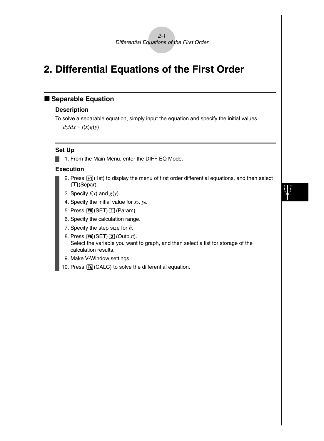

## **2. Differential Equations of the First Order**

### $\blacksquare$  **Separable Equation**

#### **Description**

To solve a separable equation, simply input the equation and specify the initial values.  $dy/dx = f(x)g(y)$ 

#### **Set Up**

1. From the Main Menu, enter the DIFF EQ Mode.

- 2. Press  $\mathbb{F}$ 1(1st) to display the menu of first order differential equations, and then select  $\Box$  (Separ).
- 3. Specify  $f(x)$  and  $g(y)$ .
- 4. Specify the initial value for *x*0, *y*0.
- 5. Press  $F5(SET)$  [1] (Param).
- 6. Specify the calculation range.
- 7. Specify the step size for *h*.
- 8. Press F5(SET) 2 (Output). Select the variable you want to graph, and then select a list for storage of the calculation results.
- 9. Make V-Window settings.
- 10. Press [F6] (CALC) to solve the differential equation.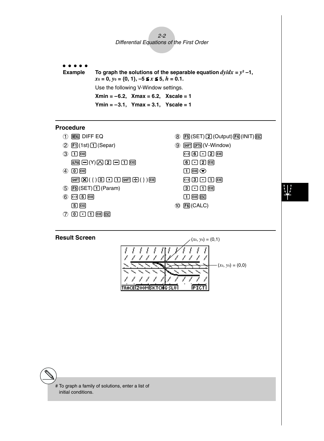$2 - 2$ Differential Equations of the First Order

aaaaa **Example** To graph the solutions of the separable equation  $dy/dx = y^2 - 1$ ,  $x_0 = 0, y_0 = \{0, 1\}, -5 \le x \le 5, h = 0.1.$ Use the following V-Window settings. **Xmin = –6.2, Xmax = 6.2, Xscale = 1 Ymin = –3.1, Ymax = 3.1, Yscale = 1**

#### **Procedure**

- 1 MENT DIFF EQ
- $(2)$   $[1]$ (1st) $[1]$ (Separ)
- $(3)$   $[1]$   $[EXE]$ 
	- $\overline{AIPHA} \square(Y) \square \square \square \square \square$  [EXE]
- $(4)$   $(0)$   $EXE$  $\boxed{\text{Siff}}(\{ \})\boxed{0}$   $\boxed{1}$   $\boxed{\text{Siff}}(\{ \})$   $\boxed{\text{Siff}}$
- $5$  F<sub>5</sub> $(SET)$  (Param)
- $6$  $-$ f $-$ f $\boxed{5}$   $EXE$
- 7 a.bwi
- **8 F5 (SET) 2 (Output) F4 (INIT) ESD**  $\circledS$   $\circledR$   $\circledR$   $\circledR$   $\circledR$   $\circledR$   $\circledR$   $\circlearrowright$   $\circledR$   $\circlearrowright$   $\circlearrowright$   $\circlearrowright$   $\circlearrowright$   $\circlearrowright$   $\circlearrowright$   $\circlearrowright$   $\circlearrowright$   $\circlearrowright$   $\circlearrowright$   $\circlearrowright$   $\circlearrowright$   $\circlearrowright$   $\circlearrowright$   $\circlearrowright$   $\circlearrowright$   $\circlearrowright$   $\circlearrowright$   $\circlearrowright$   $\circlearrow$  $\Box$  6  $\Box$  2  $\Box$  $002E$  $\Box$  EXE  $\odot$  $\Box$  3  $\Box$   $\Pi$   $\mathbb{R}$ 
	- $\boxed{3}$  $\boxed{1}$  $\boxed{1}$  $\boxed{ex}$
	- $\Box$   $E \times E$   $E \times C$
- 0 6(CALC)



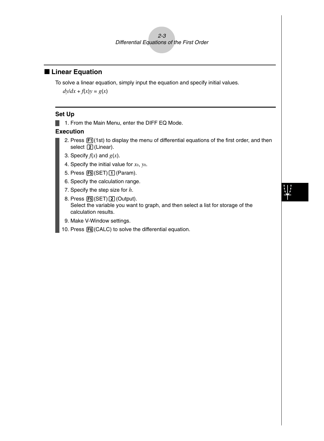

#### **E** Linear Equation

To solve a linear equation, simply input the equation and specify initial values.

 $dy/dx + f(x)y = g(x)$ 

#### **Set Up**

1. From the Main Menu, enter the DIFF EQ Mode.

- 2. Press  $\boxed{F1}$ (1st) to display the menu of differential equations of the first order, and then select  $\overline{2}$  (Linear).
- 3. Specify  $f(x)$  and  $g(x)$ .
- 4. Specify the initial value for *x*0, *y*0.
- 5. Press  $F5$ (SET) $\boxed{1}$ (Param).
- 6. Specify the calculation range.
- 7. Specify the step size for *h*.
- 8. Press [F5] (SET) [2] (Output). Select the variable you want to graph, and then select a list for storage of the calculation results.
- 9. Make V-Window settings.
- 10. Press F6(CALC) to solve the differential equation.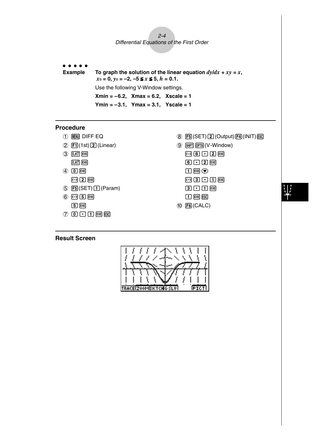$2 - 4$ Differential Equations of the First Order

aaaaa

**Example** To graph the solution of the linear equation  $dy/dx + xy = x$ ,  $x_0 = 0$ ,  $y_0 = -2$ ,  $-5 \le x \le 5$ ,  $h = 0.1$ . Use the following V-Window settings. **Xmin = –6.2, Xmax = 6.2, Xscale = 1 Ymin = –3.1, Ymax = 3.1, Yscale = 1**

#### **Procedure**

- 1 MENT DIFF EQ
- $(2)$   $[1]$ (1st) $[2]$ (Linear)
- $(3)$   $(X, \theta, T)$  **EXE**  $(X, \theta, T)$  (EXE)
- $(4)$   $(0)$   $EXE$
- $\boxed{(-)}$   $\boxed{2}$   $\boxed{EXE}$
- $5$   $F5$  (SET) $f1$  (Param)
- $6$  $-$ f $-$ f $-$ 
	- $\boxed{5}$   $EXE$
- 7 a.bwi
- $(8)$   $[FB]$  (SET) $[2]$  (Output) $[FA]$  (INIT)  $[EG]$
- $\circledS$   $\circledR$   $\circledR$   $\circledR$   $\circledR$   $\circledR$   $\circledR$   $\circlearrowright$   $\circledR$   $\circlearrowright$   $\circlearrowright$   $\circlearrowright$   $\circlearrowright$   $\circlearrowright$   $\circlearrowright$   $\circlearrowright$   $\circlearrowright$   $\circlearrowright$   $\circlearrowright$   $\circlearrowright$   $\circlearrowright$   $\circlearrowright$   $\circlearrowright$   $\circlearrowright$   $\circlearrowright$   $\circlearrowright$   $\circlearrowright$   $\circlearrowright$   $\circlearrow$  $\Theta$  $\Theta$  $\Theta$  $\Omega$  $\Xi$  $G$  $Q$  $R$  $\Box$  EXE  $\odot$  $\Box$  3  $\Box$  1  $\Box$  $3000$  $\Box$   $E \times E$   $E \times C$
- 0 6(CALC)

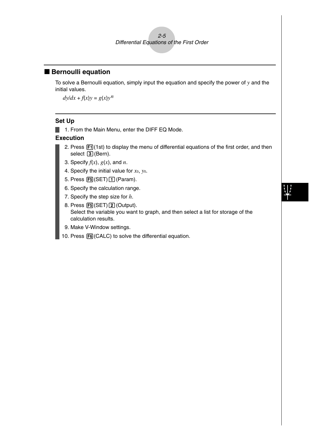

### **Bernoulli equation**

To solve a Bernoulli equation, simply input the equation and specify the power of *y* and the initial values.

 $dy/dx + f(x)y = g(x)y^n$ 

#### **Set Up**

1. From the Main Menu, enter the DIFF EQ Mode.

- 2. Press  $[**F1**]$  (1st) to display the menu of differential equations of the first order, and then select  $\boxed{3}$  (Bern).
- 3. Specify *f*(*x*), *g*(*x*), and *n*.
- 4. Specify the initial value for *x*0, *y*0.
- 5. Press  $F5(SET)$  (Param).
- 6. Specify the calculation range.
- 7. Specify the step size for *h*.
- 8. Press [F5] (SET) [2] (Output). Select the variable you want to graph, and then select a list for storage of the calculation results.
- 9. Make V-Window settings.
- 10. Press [F6] (CALC) to solve the differential equation.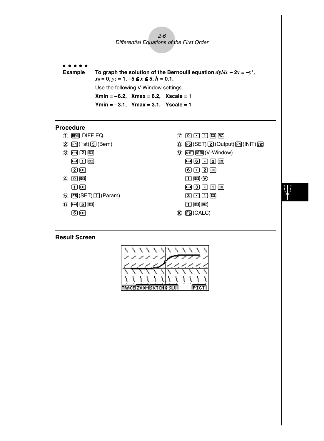$2 - 6$ Differential Equations of the First Order

aaaaa

**Example** To graph the solution of the Bernoulli equation  $dy/dx - 2y = -y^2$ ,  $x_0 = 0$ ,  $y_0 = 1$ ,  $-5 \le x \le 5$ ,  $h = 0.1$ . Use the following V-Window settings. **Xmin = –6.2, Xmax = 6.2, Xscale = 1 Ymin = –3.1, Ymax = 3.1, Yscale = 1**

#### **Procedure**

- 1 MENT DIFF EQ
- $(2)$   $[$   $[$   $]$   $(1st)$   $[$   $[$   $]$   $[$   $]$   $[$   $]$   $[$   $]$   $[$   $]$   $[$   $]$   $[$   $]$   $[$   $]$   $[$   $]$   $[$   $]$   $[$   $]$   $[$   $]$   $[$   $]$   $[$   $]$   $[$   $]$   $[$   $]$   $[$   $]$   $[$   $]$   $[$   $]$   $[$   $]$   $[$   $]$   $[$   $]$   $[$   $]$   $[$   $]$
- 3 -cw
	- $\Theta$  $\Omega$   $\mathbb{E}$
	- $2$   $ExE$
- $(4)$   $(0)$   $EXE$ 
	- $\Box$  exe
- $5$  F<sub>5</sub> $(SET)$  (Param)
- $6$   $5$   $-$ **5** EXE
- 7 a.bwi
- 8 F5 (SET) 2 (Output) F4 (INIT) EX
- **9 SHIFT OPTN (V-Window)**  $\Theta$  $\Theta$  $\Theta$  $\Omega$  $\Xi$  $6$   $12$   $R$ 
	- $\Box$  EXE  $\odot$
	- $\Theta$ 3 $\Theta$  $\Omega$  $\mathbb{R}$
	- $0.00$
	- $\Box$  EXE ESC
- 0 6(CALC)

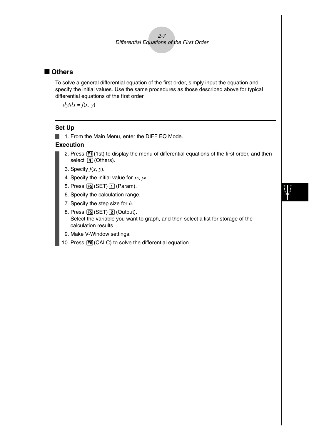### 2-7 Differential Equations of the First Order

### ■ Others

To solve a general differential equation of the first order, simply input the equation and specify the initial values. Use the same procedures as those described above for typical differential equations of the first order.

 $dy/dx = f(x, y)$ 

#### **Set Up**

**1.** From the Main Menu, enter the DIFF EQ Mode.

- 2. Press  $[F<sub>1</sub>$ (1st) to display the menu of differential equations of the first order, and then select  $\boxed{4}$  (Others).
- 3. Specify *f*(*x*, *y*).
- 4. Specify the initial value for *x*0, *y*0.
- 5. Press  $F5$ (SET) $\boxed{1}$  (Param).
- 6. Specify the calculation range.
- 7. Specify the step size for *h*.
- 8. Press [F5] (SET) [2] (Output). Select the variable you want to graph, and then select a list for storage of the calculation results.
- 9. Make V-Window settings.
- 10. Press F6(CALC) to solve the differential equation.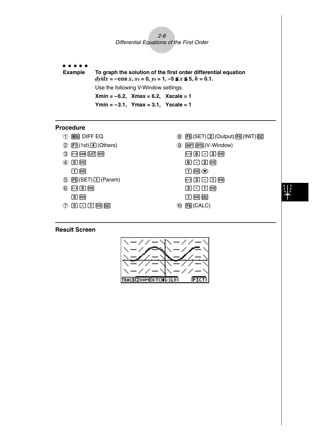$2-8$ Differential Equations of the First Order

aaaaa **Example To graph the solution of the first order differential equation**  $dy/dx = -\cos x, x_0 = 0, y_0 = 1, -5 \le x \le 5, h = 0.1.$ Use the following V-Window settings. **Xmin = –6.2, Xmax = 6.2, Xscale = 1 Ymin = –3.1, Ymax = 3.1, Yscale = 1**

#### **Procedure**

- $(1)$   $(Mm)$  DIFF EQ
- $(2)$   $[1]$ (1st) $[4]$ (Others)
- $(3)$   $\Box$   $cos$   $(x, \theta, \overline{1})$   $ex$
- $(4)$   $(0)$   $EXE$
- $\Box$  exe
- $(5)$   $[F5]$ (SET) $\boxed{1}$  (Param)
- $6$  $-$ f $-$ f $5E$
- $20000$   $m$

#### **Result Screen**



#### **8** F5 (SET) 2 (Output) F4 (INIT) ESC

- **9 SHIFT OPTN** (V-Window)  $\Theta$  $\Theta$  $\Theta$  $\Omega$  $\Xi$  $G$  $Q$  $R$  $\Box$  EXE  $\odot$  $\boxed{0}$   $\boxed{3}$   $\boxed{1}$   $\boxed{ER}$  $3000$  $\Box$   $E \times E$   $E \times C$
- 0 6(CALC)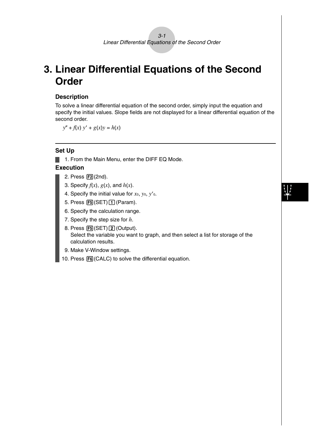## **3. Linear Differential Equations of the Second Order**

#### **Description**

To solve a linear differential equation of the second order, simply input the equation and specify the initial values. Slope fields are not displayed for a linear differential equation of the second order.

 $y'' + f(x) y' + g(x)y = h(x)$ 

### **Set Up**

1. From the Main Menu, enter the DIFF EQ Mode.

- 2. Press [F2] (2nd).
- 3. Specify  $f(x)$ ,  $g(x)$ , and  $h(x)$ .
- 4. Specify the initial value for *x*0, *y*0, *y*-0.
- 5. Press  $F5(SET)$  [1] (Param).
- 6. Specify the calculation range.
- 7. Specify the step size for *h*.
- 8. Press [F5] (SET) [2] (Output). Select the variable you want to graph, and then select a list for storage of the calculation results.
- 9. Make V-Window settings.
- 10. Press [F6] (CALC) to solve the differential equation.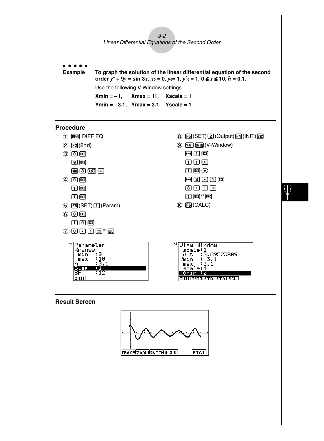3-2

Linear Differential Equations of the Second Order



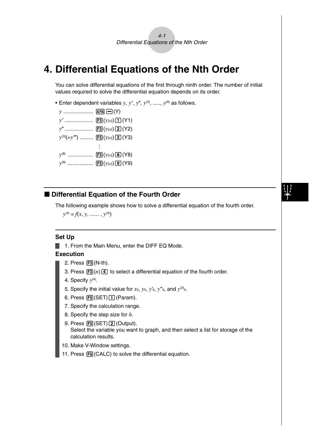$4-1$ Differential Equations of the Nth Order

## **4. Differential Equations of the Nth Order**

You can solve differential equations of the first through ninth order. The number of initial values required to solve the differential equation depends on its order.

**•** Enter dependent variables  $y$ ,  $y'$ ,  $y''$ ,  $y^{(3)}$ , .....,  $y^{(9)}$  as follows.

| $y$ [ALPHA] $\Box(Y)$ |                                       |
|-----------------------|---------------------------------------|
|                       |                                       |
|                       |                                       |
|                       | $y^{(3)}$ (=y''')  [F3] (y(n) 3] (Y3) |
|                       |                                       |
| $y^{(8)}$             | $\Xi(y_{(n)})\Xi(Y8)$                 |
|                       | $y^{(9)}$ [F3] $(y_{(n)})$ [9] (Y9)   |
|                       |                                       |

### $\blacksquare$  **Differential Equation of the Fourth Order**

The following example shows how to solve a differential equation of the fourth order.

 $y^{(4)} = f(x, y, \dots, y^{(3)})$ 

#### **Set Up**

1. From the Main Menu, enter the DIFF EQ Mode.

- $2.$  Press  $F3(N-th)$ .
- 3. Press  $\mathbb{F}3(n)\mathbb{F}$  to select a differential equation of the fourth order.
- 4. Specify *y*(4).
- 5. Specify the initial value for  $x_0$ ,  $y_0$ ,  $y'_0$ ,  $y''_0$ , and  $y^{(3)}_0$ .
- 6. Press  $[F5]$ (SET) $\boxed{1}$  (Param).
- 7. Specify the calculation range.
- 8. Specify the step size for *h*.
- $9.$  Press  $\overline{F5}$ (SET) $\overline{2}$  (Output). Select the variable you want to graph, and then select a list for storage of the calculation results.
- 10. Make V-Window settings.
- 11. Press [F6] (CALC) to solve the differential equation.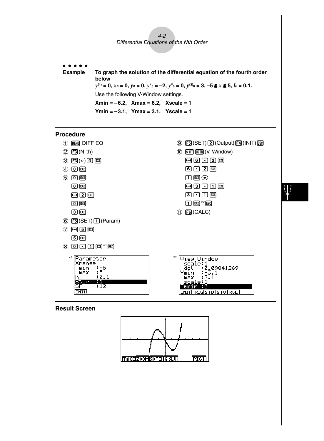

aaaaa **Example To graph the solution of the differential equation of the fourth order below** *y*<sup>(4)</sup> = 0, *x*<sup>0</sup> = 0, *y*<sup>0</sup> = 0, *y*<sup>'0</sup> = −2, *y*<sup>''</sup><sup>0</sup> = 0, *y*<sup>(3)</sup><sup>0</sup> = 3, −5 ≤ *x* ≤ 5, *h* = 0.1. Use the following V-Window settings. **Xmin = –6.2, Xmax = 6.2, Xscale = 1 Ymin = –3.1, Ymax = 3.1, Yscale = 1**

#### **Procedure**



#### **Result Screen**



₩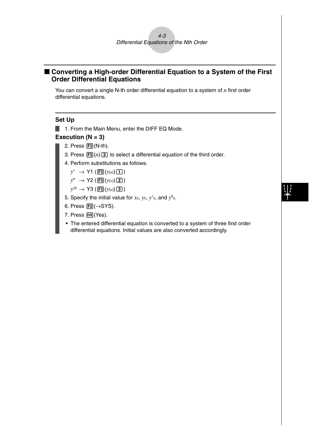### ■ Converting a High-order Differential Equation to a System of the First **Order Differential Equations**

You can convert a single N-th order differential equation to a system of *n* first order differential equations.

#### **Set Up**

1. From the Main Menu, enter the DIFF EQ Mode.

#### **Execution (N = 3)**

- 2. Press  $F3(N-th)$ .
	- 3. Press  $\mathbb{F}^3(n)$  3 to select a differential equation of the third order.
	- 4. Perform substitutions as follows.
		- $y' \rightarrow Y1$  (**F3** $(y_{(n)}$ )**[1**)

 $y'' \rightarrow Y2$  (**F3**(*y*(*n*)**(2**)

 $y^{(3)} \rightarrow Y3$  (**F3**( $y(n)$ **[3**)

- 5. Specify the initial value for *x*0, *y*0, *y*-0, and *y*0.
- 6. Press  $F2(\rightarrow SYS)$ .
- 7. Press  $ExE(Yes)$ .
- The entered differential equation is converted to a system of three first order differential equations. Initial values are also converted accordingly.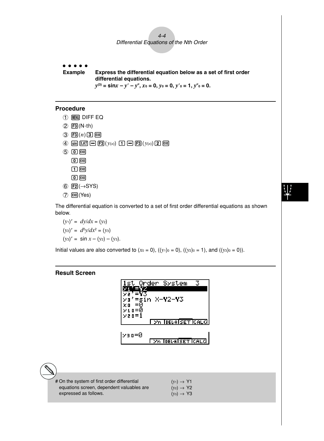### $4-4$ Differential Equations of the Nth Order

aaaaa **Example Express the differential equation below as a set of first order differential equations.** *y***(3) = sin***x* **–** *y*- **–** *y***,** *x***0 = 0,** *y***0 = 0,** *y*-**0 = 1,** *y***0 = 0.**

### **Procedure**

- 1 MENT DIFF EQ
- $(2)$   $[$ F3 $]$ (N-th)
- $(3)$  **F3** $(n)$  3 **EXE**
- $\overline{4}$  sin  $\overline{[X,\theta,1]}$   $\overline{=}$   $\overline{[F3]}(y(n))$   $\overline{1}$   $\overline{=}$   $\overline{[F3]}(y(n))$   $\overline{2}$   $\overline{[E8]}$
- $50E$ 
	- $\boxed{0}$  exe
	- $\Box$   $EXE$
	- $\boxed{0}$   $EXE$
- $6$   $E2(\rightarrow$ SYS)
- 7 EXE (Yes)

The differential equation is converted to a set of first order differential equations as shown below.

$$
(y_1)' = dy/dx = (y_2)
$$
  
\n $(y_2)' = d^2y/dx^2 = (y_3)$   
\n $(y_3)' = \sin x - (y_2) - (y_3).$ 

Initial values are also converted to  $(x_0 = 0)$ ,  $((y_1)_0 = 0)$ ,  $((y_2)_0 = 1)$ , and  $((y_3)_0 = 0)$ ).

### **Result Screen**

a

| Order System                          |
|---------------------------------------|
| =sin X <b>-Y</b> 2 <b>-Y</b> 3        |
| $\times$ a n $=$ $\times$             |
| <b>26 DELA SET CALC</b>               |
| lyan=0<br><u>I yn Ideuaiset Icald</u> |
|                                       |

| # On the system of first order differential | $(y_1) \rightarrow Y1$ |
|---------------------------------------------|------------------------|
| equations screen, dependent valuables are   | $(y_2) \rightarrow Y2$ |
| expressed as follows.                       | $(y_3) \rightarrow Y3$ |

# 业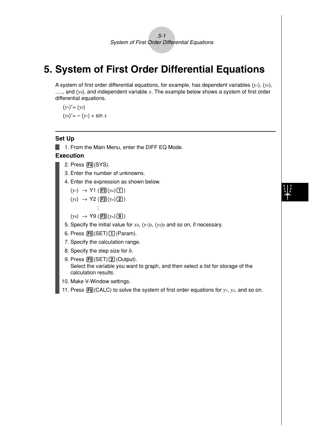5-1 System of First Order Differential Equations

## **5. System of First Order Differential Equations**

A system of first order differential equations, for example, has dependent variables (*y*1), (*y*2), ....., and (y<sub>9</sub>), and independent variable x. The example below shows a system of first order differential equations.

 $(y_1)' = (y_2)$  $(y_2)' = - (y_1) + \sin x$ 

#### **Set Up**

 $\blacksquare$  1. From the Main Menu, enter the DIFF EQ Mode.

- 2. Press F4(SYS).
- 3. Enter the number of unknowns.
- 4. Enter the expression as shown below.
	- $(y_1) \rightarrow Y1$  (F3( $y_n$ )
	- $(y_2) \rightarrow Y2$  (**F3** $(y_n)$ **2**) : …
	- $(y_9) \rightarrow Y9$  (F<sub>3</sub>( $y_n$ )**(9)**)
- 5. Specify the initial value for *x*0, (*y*1)0, (*y*2)0 and so on, if necessary.
- 6. Press  $\overline{FB}$  (SET)  $\overline{1}$  (Param).
- 7. Specify the calculation range.
- 8. Specify the step size for *h*.
- $9.$  Press  $\overline{F5}$ (SET) $\overline{2}$  (Output). Select the variable you want to graph, and then select a list for storage of the calculation results.
- 10. Make V-Window settings.
- 11. Press  $F6$ (CALC) to solve the system of first order equations for  $y_1$ ,  $y_2$ , and so on.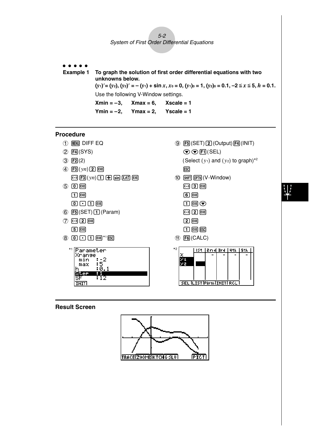5-2 System of First Order Differential Equations

aaaaa **Example 1 To graph the solution of first order differential equations with two unknowns below.**  $(y_1)' = (y_2), (y_2)' = -(y_1) + \sin x, x_0 = 0, (y_1)_0 = 1, (y_2)_0 = 0.1, -2 \le x \le 5, h = 0.1.$ Use the following V-Window settings.  $Xmin = -3$ ,  $Xmax = 6$ ,  $Xscale = 1$ **Ymin = –2, Ymax = 2, Yscale = 1**

### **Procedure**

- 1 Many DIFF EQ
- 2 F4(SYS)
- $(3)$   $\boxed{F2}(2)$
- $(4)$  **F3** $(vn)$ **2 EXE**  $\overline{(-)}$   $\overline{[F3]}(yn)$   $\overline{[1]}$   $\overline{[+]}$   $\overline{[sin]}$   $\overline{[X,\theta,T]}$   $\overline{[EXE]}$
- $(5)$   $(0)$   $[EXE]$  $\boxed{1}$   $EXE$  $0.00$  $E$
- $6$   $F_5$ (SET) $f_1$ (Param)
- $(7)$   $\overline{(-)}$   $\overline{[2]}$   $\overline{Ex}$  $[5]$   $EXE$
- $\circledast$  0  $\rm \Omega$   $\rm \Omega$   $\rm \Omega$   $\rm \Omega$   $\rm \Omega$   $\rm \Omega$



 $9$   $F5$  (SET) $2$  (Output) $F4$  (INIT)  $\odot$   $\odot$   $\boxdot$  (SEL) (Select  $(y_1)$  and  $(y_2)$  to graph)<sup>\*2</sup> **ESC** 

- $(10)$   $($ SHIFT $)$   $($ OPTN $)$  $($  V Window $)$ 
	- $\boxed{(-)}$   $\boxed{3}$   $\boxed{EXE}$  $6$   $EXE$  $\Box$
	- $\odot$  2  $E$
	- $[2]$   $EXE$  $\Box$   $Exe$   $Esc$
- $(1)$   $[FG]$  (CALC)



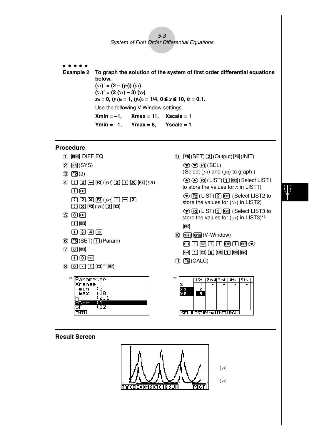#### 5-3 System of First Order Differential Equations

aaaaa

**Example 2 To graph the solution of the system of first order differential equations below.**  $(y_1)' = (2 - (y_2)) (y_1)$  $(y_2)' = (2(y_1) - 3)(y_2)$  $x_0 = 0$ ,  $(y_1)_0 = 1$ ,  $(y_2)_0 = 1/4$ ,  $0 \le x \le 10$ ,  $h = 0.1$ . Use the following V-Window settings. **Xmin = –1, Xmax = 11, Xscale = 1 Ymin = –1, Ymax = 8, Yscale = 1**

#### **Procedure**

- 1 MENT DIFF EQ
- $(2)$   $\boxed{F4}$  $(SYS)$
- $(3)$   $[$ F2 $]$  $(2)$
- $\overline{4}$   $\overline{C}$   $\overline{C}$   $\overline{C}$   $\overline{C}$   $\overline{F}$   $\overline{3}(yn)$   $\overline{2}$   $\overline{C}$   $\overline{C}$   $\overline{C}$   $\overline{3}(yn)$  $\P$  $E$  $E$ (c\*3(*yn*)b-d
- $\Box$   $\boxtimes$   $F3(vn)$   $2$   $F4$  $(5)$   $(0)$   $[EXE]$
- $\boxed{1}$   $EXE$  $\Box$  $\Box$  $\Box$  $\Box$  $\Box$
- $6$   $F_5$ (SET) $f_1$ (Param)
- $(7)$   $[0]$   $[EXE]$  $\Box$   $\Box$   $\Box$
- $\circledast$  0  $\rm \odot$   $\rm \odot$  0  $\rm$





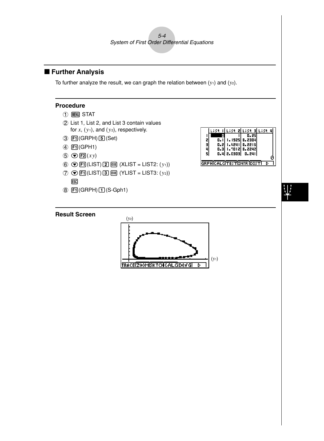5-4 System of First Order Differential Equations

### **Further Analysis**

To further analyze the result, we can graph the relation between  $(y_1)$  and  $(y_2)$ .

#### **Procedure**

- $(1)$  **MENU** STAT
- 2 List 1, List 2, and List 3 contain values for  $x$ ,  $(y_1)$ , and  $(y_2)$ , respectively.
- $(3)$   $\boxed{F1}$ (GRPH) $\boxed{5}$ (Set)
- 4 [F1](GPH1)
- $\odot$   $\odot$   $E2(xy)$
- **6 ⊙FI(LIST) 2 函 (XLIST = LIST2: (y1))**
- ⑦ **⊙ F1**(LIST) 3 函 (YLIST = LIST3: (y2)) **ESC**
- $\circledR$   $\overline{[F1]}$ (GRPH) $\overline{[1]}$ (S-Gph1)